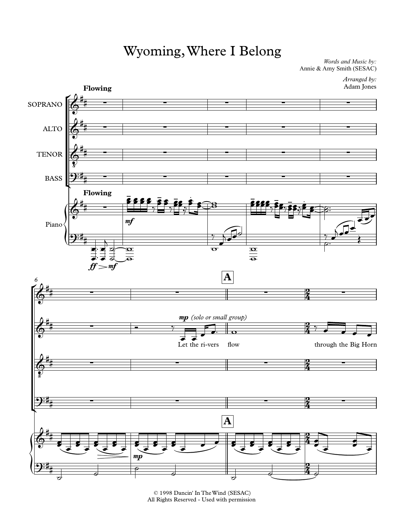## Wyoming, Where I Belong

*Words and Music by:* Annie & Amy Smith (SESAC)

> *Arranged by:* Adam Jones



<sup>© 1998</sup> Dancin' In The Wind (SESAC) All Rights Reserved - Used with permission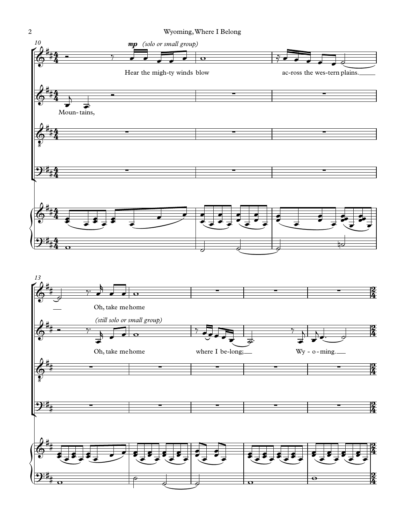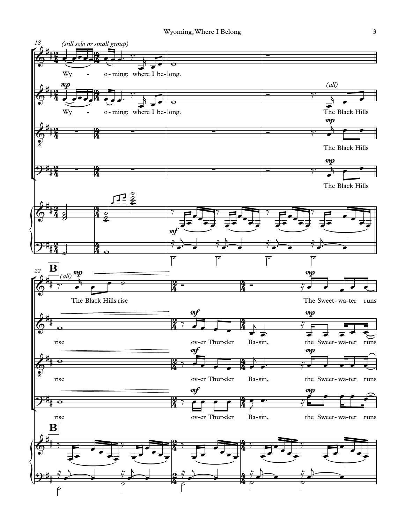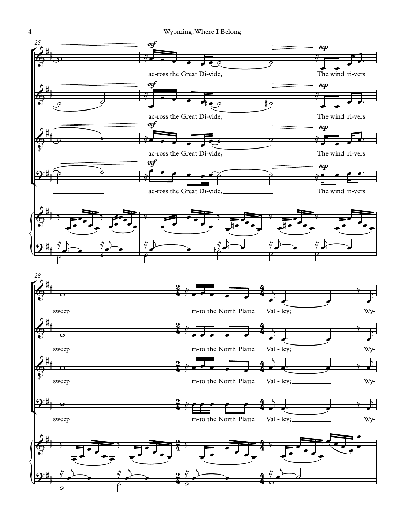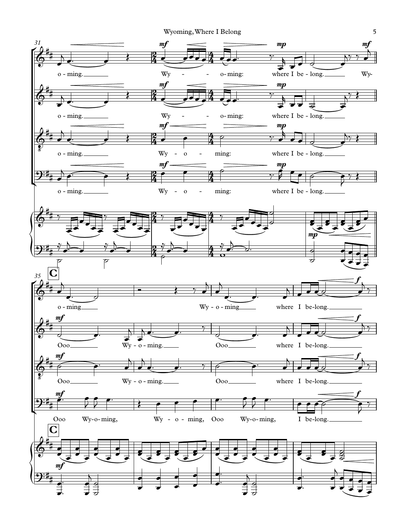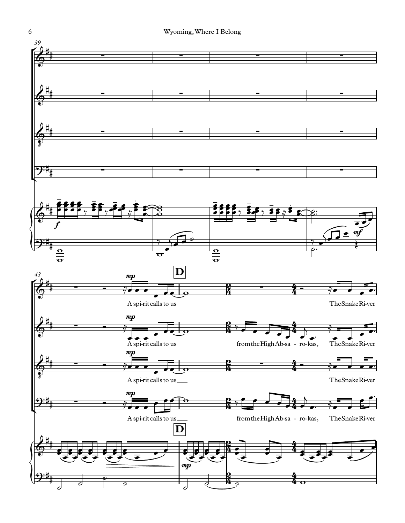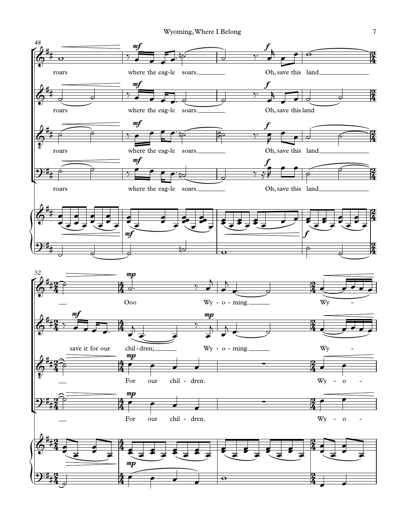Wyoming, Where I Belong 7

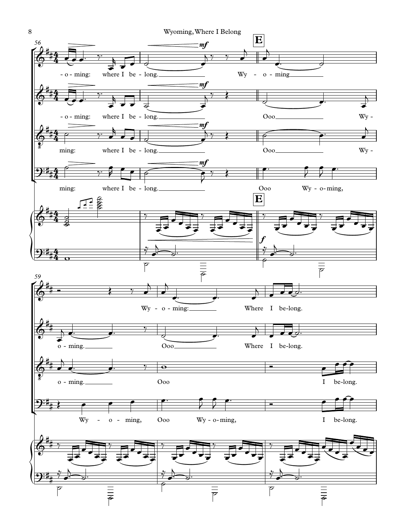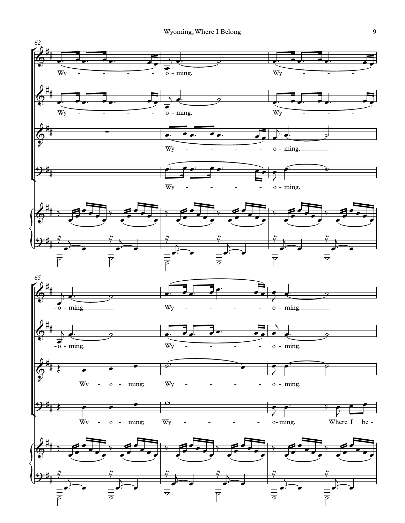